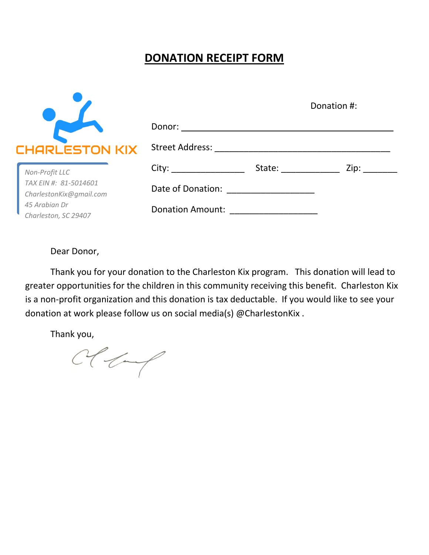## **DONATION RECEIPT FORM**

|                                          | Donation #:                                                                                                                                                                                                                    |                                                                                                                                                                                                                                |      |
|------------------------------------------|--------------------------------------------------------------------------------------------------------------------------------------------------------------------------------------------------------------------------------|--------------------------------------------------------------------------------------------------------------------------------------------------------------------------------------------------------------------------------|------|
|                                          |                                                                                                                                                                                                                                |                                                                                                                                                                                                                                |      |
| CHARLESTON KIX                           | Street Address: All Press and Address and Address and Address and Address and Address and Address and Address of Address and Address and Address and Address and Address and Address and Address and Address and Address and A |                                                                                                                                                                                                                                |      |
| Non-Profit LLC                           |                                                                                                                                                                                                                                | State: when the state of the state of the state of the state of the state of the state of the state of the state of the state of the state of the state of the state of the state of the state of the state of the state of th | Zip: |
| TAX EIN #: 81-5014601                    | Date of Donation:                                                                                                                                                                                                              |                                                                                                                                                                                                                                |      |
| CharlestonKix@gmail.com<br>45 Arabian Dr |                                                                                                                                                                                                                                |                                                                                                                                                                                                                                |      |
| Charleston, SC 29407                     | <b>Donation Amount:</b>                                                                                                                                                                                                        |                                                                                                                                                                                                                                |      |

Dear Donor,

Thank you for your donation to the Charleston Kix program. This donation will lead to greater opportunities for the children in this community receiving this benefit. Charleston Kix is a non-profit organization and this donation is tax deductable. If you would like to see your donation at work please follow us on social media(s) @CharlestonKix .

Thank you,

 $Cecterf$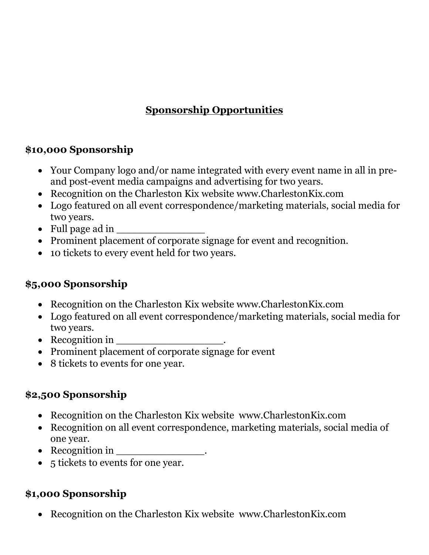# **Sponsorship Opportunities**

### **\$10,000 Sponsorship**

- Your Company logo and/or name integrated with every event name in all in preand post-event media campaigns and advertising for two years.
- Recognition on the Charleston Kix website www.CharlestonKix.com
- Logo featured on all event correspondence/marketing materials, social media for two years.
- Full page ad in  $\overline{\phantom{a}}$
- Prominent placement of corporate signage for event and recognition.
- 10 tickets to every event held for two years.

#### **\$5,000 Sponsorship**

- Recognition on the Charleston Kix website www.CharlestonKix.com
- Logo featured on all event correspondence/marketing materials, social media for two years.
- Recognition in \_\_\_\_\_\_\_\_\_\_\_\_\_\_\_\_\_.
- Prominent placement of corporate signage for event
- 8 tickets to events for one year.

## **\$2,500 Sponsorship**

- Recognition on the Charleston Kix website www.CharlestonKix.com
- Recognition on all event correspondence, marketing materials, social media of one year.
- Recognition in \_\_\_\_\_\_\_\_\_\_\_\_\_\_.
- 5 tickets to events for one year.

## **\$1,000 Sponsorship**

Recognition on the Charleston Kix website www.CharlestonKix.com